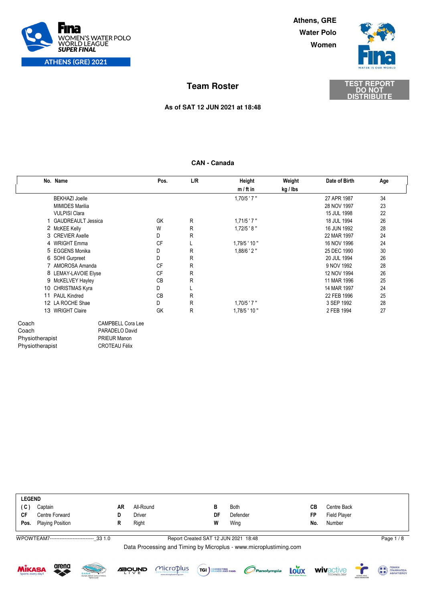

**Women Water Polo Athens, GRE**



**DISTRIBUITE**

# **DO NOT TEST REPORT Team Roster**

### **As of SAT 12 JUN 2021 at 18:48**

### **CAN - Canada**

|                                                      | No. Name                  | Pos.                                                               | L/R | Height           | Weight   | Date of Birth | Age |
|------------------------------------------------------|---------------------------|--------------------------------------------------------------------|-----|------------------|----------|---------------|-----|
|                                                      |                           |                                                                    |     | $m / ft$ in      | kg / lbs |               |     |
|                                                      | <b>BEKHAZI Joelle</b>     |                                                                    |     | $1,70/5$ ' $7$ " |          | 27 APR 1987   | 34  |
|                                                      | <b>MIMIDES Marilia</b>    |                                                                    |     |                  |          | 28 NOV 1997   | 23  |
|                                                      | <b>VULPISI Clara</b>      |                                                                    |     |                  |          | 15 JUL 1998   | 22  |
| 1.                                                   | <b>GAUDREAULT Jessica</b> | GK                                                                 | R   | $1,71/5$ ' $7$ " |          | 18 JUL 1994   | 26  |
|                                                      | 2 McKEE Kelly             | W                                                                  | R   | $1,72/5$ ' 8"    |          | 16 JUN 1992   | 28  |
|                                                      | 3 CREVIER Axelle          | D                                                                  | R   |                  |          | 22 MAR 1997   | 24  |
|                                                      | 4 WRIGHT Emma             | <b>CF</b>                                                          |     | $1,79/5$ ' 10"   |          | 16 NOV 1996   | 24  |
|                                                      | 5 EGGENS Monika           | D                                                                  | R   | $1,88/6$ ' 2 "   |          | 25 DEC 1990   | 30  |
|                                                      | 6 SOHI Gurpreet           | D                                                                  | R   |                  |          | 20 JUL 1994   | 26  |
|                                                      | 7 AMOROSA Amanda          | <b>CF</b>                                                          | R   |                  |          | 9 NOV 1992    | 28  |
|                                                      | 8 LEMAY-LAVOIE Elyse      | CF                                                                 | R   |                  |          | 12 NOV 1994   | 26  |
|                                                      | 9 McKELVEY Hayley         | <b>CB</b>                                                          | R   |                  |          | 11 MAR 1996   | 25  |
|                                                      | 10 CHRISTMAS Kyra         | D                                                                  |     |                  |          | 14 MAR 1997   | 24  |
|                                                      | 11 PAUL Kindred           | <b>CB</b>                                                          | R   |                  |          | 22 FEB 1996   | 25  |
|                                                      | 12 LA ROCHE Shae          | D                                                                  | R   | $1,70/5$ ' $7$ " |          | 3 SEP 1992    | 28  |
|                                                      | 13 WRIGHT Claire          | GK                                                                 | R   | $1,78/5$ ' 10"   |          | 2 FEB 1994    | 27  |
| Coach<br>Coach<br>Physiotherapist<br>Physiotherapist | <b>PRIEUR Manon</b>       | <b>CAMPBELL Cora Lee</b><br>PARADELO David<br><b>CROTEAU Félix</b> |     |                  |          |               |     |

|           | <b>LEGEND</b>           |    |           |    |             |     |                     |  |  |  |  |
|-----------|-------------------------|----|-----------|----|-------------|-----|---------------------|--|--|--|--|
| (C)       | Captain                 | AR | All-Round |    | <b>Both</b> | CВ  | Centre Back         |  |  |  |  |
| <b>CF</b> | Centre Forward          |    | Driver    | DF | Defender    | FP  | <b>Field Player</b> |  |  |  |  |
| Pos.      | <b>Playing Position</b> |    | Right     | W  | Wing        | No. | Number              |  |  |  |  |
|           |                         |    |           |    |             |     |                     |  |  |  |  |

WPOWTEAM7---------------------------\_33 1.0

Report Created SAT 12 JUN 2021 18:48 Page 1 / 8











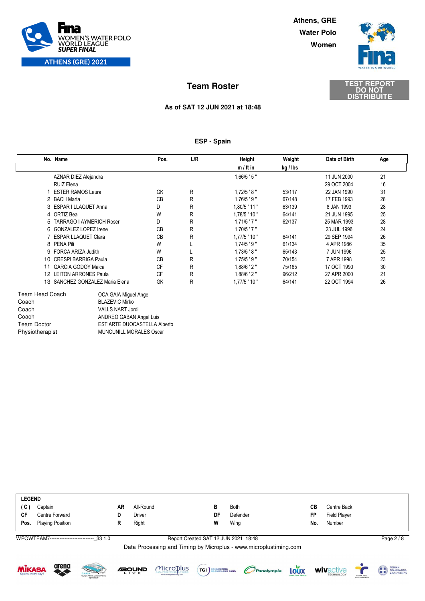

**Women Water Polo Athens, GRE**



## **DISTRIBUITE DO NOT TEST REPORT Team Roster**

### **As of SAT 12 JUN 2021 at 18:48**

### **ESP - Spain**

| No. Name                        |                                 | Pos.      | L/R | Height           | Weight   | Date of Birth | Age |
|---------------------------------|---------------------------------|-----------|-----|------------------|----------|---------------|-----|
|                                 |                                 |           |     | $m / ft$ in      | kg / Ibs |               |     |
| <b>AZNAR DIEZ Alejandra</b>     |                                 |           |     | $1,66/5$ ' 5"    |          | 11 JUN 2000   | 21  |
| <b>RUIZ Elena</b>               |                                 |           |     |                  |          | 29 OCT 2004   | 16  |
| <b>ESTER RAMOS Laura</b>        |                                 | GK        | R   | $1,72/5$ ' 8"    | 53/117   | 22 JAN 1990   | 31  |
| 2 BACH Marta                    |                                 | <b>CB</b> | R   | $1,76/5$ ' 9"    | 67/148   | 17 FEB 1993   | 28  |
| 3 ESPAR I LLAQUET Anna          |                                 | D         | R   | $1,80/5$ ' 11 "  | 63/139   | 8 JAN 1993    | 28  |
| 4 ORTIZ Bea                     |                                 | W         | R   | $1,78/5$ ' 10 "  | 64/141   | 21 JUN 1995   | 25  |
|                                 | 5 TARRAGO I AYMERICH Roser      | D         | R   | $1,71/5$ ' $7$ " | 62/137   | 25 MAR 1993   | 28  |
| 6 GONZALEZ LOPEZ Irene          |                                 | <b>CB</b> | R   | $1,70/5$ '7"     |          | 23 JUL 1996   | 24  |
| 7 ESPAR LLAQUET Clara           |                                 | <b>CB</b> | R   | $1,77/5$ ' 10"   | 64/141   | 29 SEP 1994   | 26  |
| 8 PENA Pili                     |                                 | W         |     | $1,74/5$ ' 9"    | 61/134   | 4 APR 1986    | 35  |
| 9 FORCA ARIZA Judith            |                                 | W         |     | $1,73/5$ '8"     | 65/143   | 7 JUN 1996    | 25  |
| 10 CRESPI BARRIGA Paula         |                                 | <b>CB</b> | R   | $1,75/5$ '9"     | 70/154   | 7 APR 1998    | 23  |
| <b>GARCIA GODOY Maica</b><br>11 |                                 | <b>CF</b> | R   | $1,88/6$ ' 2"    | 75/165   | 17 OCT 1990   | 30  |
| 12 LEITON ARRONES Paula         |                                 | <b>CF</b> | R   | $1,88/6$ ' 2"    | 96/212   | 27 APR 2000   | 21  |
|                                 | 13 SANCHEZ GONZALEZ Maria Elena | GK        | R   | $1,77/5$ ' 10"   | 64/141   | 22 OCT 1994   | 26  |
| <b>Team Head Coach</b>          | OCA GAIA Miguel Angel           |           |     |                  |          |               |     |
| Coach                           | <b>BLAZEVIC Mirko</b>           |           |     |                  |          |               |     |
| Coach                           | <b>VALLS NART Jordi</b>         |           |     |                  |          |               |     |
| Coach                           | ANDREO GABAN Angel Luis         |           |     |                  |          |               |     |

|           | <b>LEGEND</b>           |    |           |    |             |     |              |  |  |  |
|-----------|-------------------------|----|-----------|----|-------------|-----|--------------|--|--|--|
| (C)       | Captain                 | AR | All-Round | в  | <b>Both</b> | CВ  | Centre Back  |  |  |  |
| <b>CF</b> | Centre Forward          |    | Driver    | DF | Defender    | FP  | Field Player |  |  |  |
| Pos.      | <b>Playing Position</b> |    | Right     | W  | Wing        | No. | Number       |  |  |  |
|           |                         |    |           |    |             |     |              |  |  |  |

WPOWTEAM7---------------------------\_33 1.0

### Report Created SAT 12 JUN 2021 18:48 Page 2 / 8

Data Processing and Timing by Microplus - www.microplustiming.com





Team Doctor **ESTIARTE DUOCASTELLA Alberto**<br>
Physiotherapist MUNCUNILL MORALES Oscar

MUNCUNILL MORALES Oscar







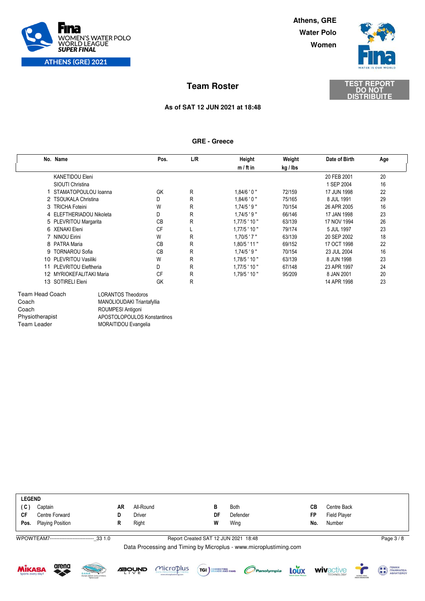

**Women Water Polo Athens, GRE**



**DISTRIBUITE**

# **DO NOT TEST REPORT Team Roster**

### **As of SAT 12 JUN 2021 at 18:48**

### **GRE - Greece**

|    | No. Name                    | Pos.      | L/R | <b>Height</b>    | Weight   | Date of Birth | Age |  |
|----|-----------------------------|-----------|-----|------------------|----------|---------------|-----|--|
|    |                             |           |     | $m / ft$ in      | kg / Ibs |               |     |  |
|    | <b>KANETIDOU Eleni</b>      |           |     |                  |          | 20 FEB 2001   | 20  |  |
|    | SIOUTI Christina            |           |     |                  |          | 1 SEP 2004    | 16  |  |
|    | STAMATOPOULOU loanna        | GK        | R   | $1,84/6$ ' 0 "   | 72/159   | 17 JUN 1998   | 22  |  |
|    | 2 TSOUKALA Christina        | D         | R   | 1.84/6'0''       | 75/165   | 8 JUL 1991    | 29  |  |
|    | 3 TRICHA Foteini            | W         | R   | $1.74/5$ ' 9"    | 70/154   | 26 APR 2005   | 16  |  |
|    | 4 ELEFTHERIADOU Nikoleta    | D         | R   | $1.74/5$ ' 9"    | 66/146   | 17 JAN 1998   | 23  |  |
|    | 5 PLEVRITOU Margarita       | <b>CB</b> | R   | $1.77/5$ ' 10"   | 63/139   | 17 NOV 1994   | 26  |  |
|    | 6 XENAKI Eleni              | <b>CF</b> |     | $1.77/5$ ' 10 "  | 79/174   | 5 JUL 1997    | 23  |  |
|    | 7 NINOU Eirini              | W         | R   | $1.70/5$ ' $7$ " | 63/139   | 20 SEP 2002   | 18  |  |
|    | 8 PATRA Maria               | <b>CB</b> | R   | $1,80/5$ ' 11 "  | 69/152   | 17 OCT 1998   | 22  |  |
|    | 9 TORNAROU Sofia            | <b>CB</b> | R   | $1,74/5$ '9"     | 70/154   | 23 JUL 2004   | 16  |  |
|    | 10 PLEVRITOU Vasiliki       | W         | R   | $1,78/5$ ' 10"   | 63/139   | 8 JUN 1998    | 23  |  |
| 11 | <b>PLEVRITOU Eleftheria</b> | D         | R   | $1.77/5$ ' 10 "  | 67/148   | 23 APR 1997   | 24  |  |
|    | 12 MYRIOKEFALITAKI Maria    | CF        | R   | $1.79/5$ ' 10 "  | 95/209   | 8 JAN 2001    | 20  |  |
|    | 13 SOTIRELI Eleni           | GK        | R   |                  |          | 14 APR 1998   | 23  |  |

| Team Head Coach | LORANTOS Theodoros          |
|-----------------|-----------------------------|
| Coach           | MANOLIOUDAKI Triantafyllia  |
| Coach           | ROUMPESI Antigoni           |
| Physiotherapist | APOSTOLOPOULOS Konstantinos |
| Team Leader     | <b>MORAITIDOU Evangelia</b> |
|                 |                             |

|      | <b>LEGEND</b>           |    |           |    |             |     |                     |  |  |  |  |
|------|-------------------------|----|-----------|----|-------------|-----|---------------------|--|--|--|--|
| (C)  | Captain                 | AR | All-Round | в  | <b>Both</b> | CВ  | Centre Back         |  |  |  |  |
| CF   | Centre Forward          |    | Driver    | DF | Defender    | FP  | <b>Field Player</b> |  |  |  |  |
| Pos. | <b>Playing Position</b> |    | Right     | W  | Wing        | No. | Number              |  |  |  |  |
|      |                         |    |           |    |             |     |                     |  |  |  |  |

WPOWTEAM7---------------------------\_33 1.0

Report Created SAT 12 JUN 2021 18:48 Page 3 / 8













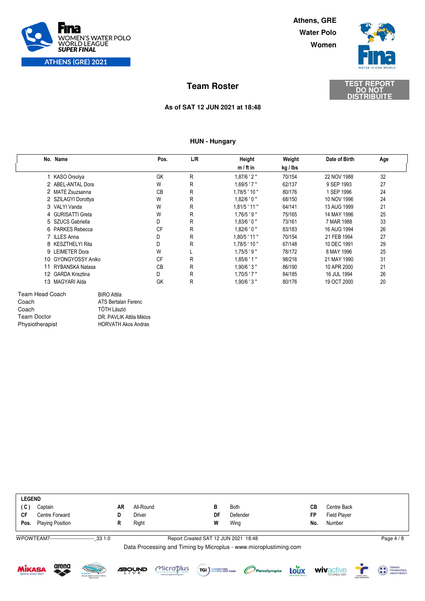

**Women Water Polo Athens, GRE**



**DISTRIBUITE**

# **DO NOT TEST REPORT Team Roster**

### **As of SAT 12 JUN 2021 at 18:48**

### **HUN - Hungary**

|    | No. Name            | Pos.      | L/R | Height         | Weight   | Date of Birth | Age |
|----|---------------------|-----------|-----|----------------|----------|---------------|-----|
|    |                     |           |     | $m / ft$ in    | kg / lbs |               |     |
|    | 1 KASO Orsolya      | GK        | R   | $1,87/6$ ' 2"  | 70/154   | 22 NOV 1988   | 32  |
|    | 2 ABEL-ANTAL Dora   | W         | R   | $1,69/5$ ' 7"  | 62/137   | 9 SEP 1993    | 27  |
|    | 2 MATE Zsuzsanna    | <b>CB</b> | R   | 1.78/5 ' 10"   | 80/176   | 1 SEP 1996    | 24  |
|    | 2 SZILAGYI Dorottya | W         | R   | $1,82/6$ ' 0 " | 68/150   | 10 NOV 1996   | 24  |
|    | 3 VALYI Vanda       | W         | R   | 1,81/5 ' 11 "  | 64/141   | 13 AUG 1999   | 21  |
|    | 4 GURISATTI Greta   | W         | R   | $1,76/5$ '9"   | 75/165   | 14 MAY 1996   | 25  |
|    | 5 SZUCS Gabriella   | D         | R   | 1.83/6'0''     | 73/161   | 7 MAR 1988    | 33  |
|    | 6 PARKES Rebecca    | <b>CF</b> | R   | 1.82/6'0''     | 83/183   | 16 AUG 1994   | 26  |
|    | 7 ILLES Anna        | D         | R   | 1,80/5 ' 11 "  | 70/154   | 21 FEB 1994   | 27  |
|    | 8 KESZTHELYI Rita   | D         | R   | 1,78/5 ' 10"   | 67/148   | 10 DEC 1991   | 29  |
|    | 9 LEIMETER Dora     | W         |     | $1,75/5$ '9"   | 78/172   | 8 MAY 1996    | 25  |
|    | 10 GYONGYOSSY Aniko | CF        | R   | $1,85/6$ ' 1"  | 98/216   | 21 MAY 1990   | 31  |
| 11 | RYBANSKA Natasa     | <b>CB</b> | R   | $1,90/6$ ' 3"  | 86/190   | 10 APR 2000   | 21  |
|    | 12 GARDA Krisztina  | D         | R   | $1,70/5$ ' 7"  | 84/185   | 16 JUL 1994   | 26  |
|    | 13 MAGYARI Alda     | GK        | R   | $1,90/6$ ' 3"  | 80/176   | 19 OCT 2000   | 20  |

| Coach           | ATS Bertalan Ferenc        |
|-----------------|----------------------------|
| Coach           | TÓTH László                |
| Team Doctor     | DR. PAVLIK Attila Miklos   |
| Physiotherapist | <b>HORVATH Akos Andras</b> |

|           | <b>LEGEND</b>           |    |           |    |             |     |                     |  |  |  |  |
|-----------|-------------------------|----|-----------|----|-------------|-----|---------------------|--|--|--|--|
| (C)       | Captain                 | AR | All-Round | в  | <b>Both</b> | CВ  | Centre Back         |  |  |  |  |
| <b>CF</b> | Centre Forward          |    | Driver    | DF | Defender    | FP  | <b>Field Player</b> |  |  |  |  |
| Pos.      | <b>Playing Position</b> |    | Right     | W  | Wing        | No. | Number              |  |  |  |  |
|           |                         |    |           |    |             |     |                     |  |  |  |  |

WPOWTEAM7---------------------------\_33 1.0

### Report Created SAT 12 JUN 2021 18:48 Page 4 / 8











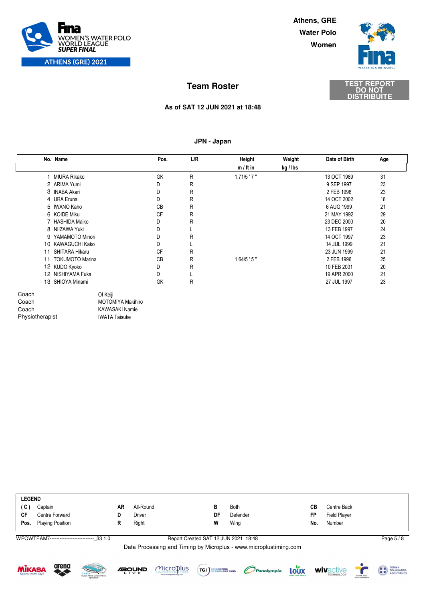

**Women Water Polo Athens, GRE**



## **DISTRIBUITE DO NOT TEST REPORT Team Roster**

### **As of SAT 12 JUN 2021 at 18:48**

### **JPN - Japan**

|                 | No. Name             | Pos.                     | L/R | Height        | Weight   | Date of Birth | Age |
|-----------------|----------------------|--------------------------|-----|---------------|----------|---------------|-----|
|                 |                      |                          |     | $m / ft$ in   | kg / Ibs |               |     |
|                 | 1 MIURA Rikako       | GK                       | R   | $1,71/5$ '7"  |          | 13 OCT 1989   | 31  |
|                 | 2 ARIMA Yumi         | D                        | R   |               |          | 9 SEP 1997    | 23  |
|                 | 3 INABA Akari        | D                        | R   |               |          | 2 FEB 1998    | 23  |
|                 | 4 URA Eruna          | D                        | R   |               |          | 14 OCT 2002   | 18  |
|                 | 5 IWANO Kaho         | <b>CB</b>                | R   |               |          | 6 AUG 1999    | 21  |
|                 | 6 KOIDE Miku         | CF                       | R   |               |          | 21 MAY 1992   | 29  |
|                 | 7 HASHIDA Maiko      | D                        | R   |               |          | 23 DEC 2000   | 20  |
|                 | 8 NIIZAWA Yuki       | D                        |     |               |          | 13 FEB 1997   | 24  |
|                 | 9 YAMAMOTO Minori    | D                        | R   |               |          | 14 OCT 1997   | 23  |
|                 | 10 KAWAGUCHI Kako    | D                        |     |               |          | 14 JUL 1999   | 21  |
| 11              | SHITARA Hikaru       | <b>CF</b>                | R   |               |          | 23 JUN 1999   | 21  |
|                 | 11 TOKUMOTO Marina   | <b>CB</b>                | R   | $1,64/5$ ' 5" |          | 2 FEB 1996    | 25  |
|                 | 12 KUDO Kyoko        | D                        | R   |               |          | 10 FEB 2001   | 20  |
|                 | 12 NISHIYAMA Fuka    | D                        |     |               |          | 19 APR 2000   | 21  |
|                 | 13 SHIOYA Minami     | GK                       | R   |               |          | 27 JUL 1997   | 23  |
| Coach           | OI Keiji             |                          |     |               |          |               |     |
| Coach           |                      | <b>MOTOMIYA Makihiro</b> |     |               |          |               |     |
| Coach           |                      | <b>KAWASAKI Namie</b>    |     |               |          |               |     |
| Physiotherapist | <b>IWATA Taisuke</b> |                          |     |               |          |               |     |

|           | <b>LEGEND</b>           |           |           |    |          |     |                     |  |  |  |  |
|-----------|-------------------------|-----------|-----------|----|----------|-----|---------------------|--|--|--|--|
| (C)       | Captain                 | <b>AR</b> | All-Round |    | Both     | CВ  | Centre Back         |  |  |  |  |
| <b>CF</b> | Centre Forward          |           | Driver    | DF | Defender | FP  | <b>Field Player</b> |  |  |  |  |
| Pos.      | <b>Playing Position</b> |           | Right     | W  | Wing     | No. | Number              |  |  |  |  |
|           |                         |           |           |    |          |     |                     |  |  |  |  |

WPOWTEAM7---------------------------\_33 1.0

Report Created SAT 12 JUN 2021 18:48 Page 5 / 8











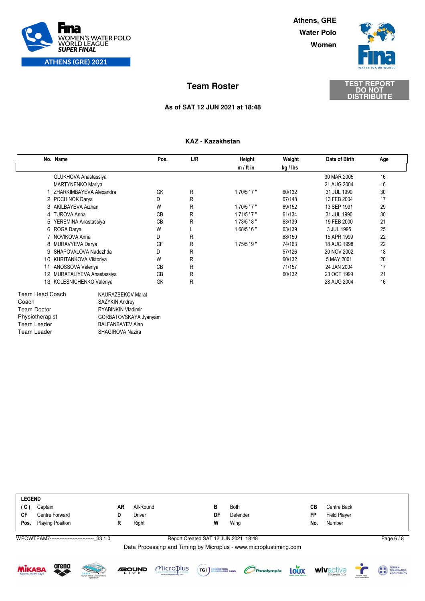

**Women Water Polo Athens, GRE**





### **As of SAT 12 JUN 2021 at 18:48**

### **KAZ - Kazakhstan**

| No. Name                                        |                         | Pos.      | L/R | Height           | Weight   | Date of Birth | Age |
|-------------------------------------------------|-------------------------|-----------|-----|------------------|----------|---------------|-----|
|                                                 |                         |           |     | $m / ft$ in      | kg / lbs |               |     |
| <b>GLUKHOVA Anastassiya</b>                     |                         |           |     |                  |          | 30 MAR 2005   | 16  |
| <b>MARTYNENKO Mariya</b>                        |                         |           |     |                  |          | 21 AUG 2004   | 16  |
|                                                 | ZHARKIMBAYEVA Alexandra | GK        | R   | $1,70/5$ ' 7"    | 60/132   | 31 JUL 1990   | 30  |
| 2 POCHINOK Darya                                |                         | D         | R   |                  | 67/148   | 13 FEB 2004   | 17  |
| 3 AKILBAYEVA Aizhan                             |                         | W         | R   | $1,70/5$ ' $7$ " | 69/152   | 13 SEP 1991   | 29  |
| 4 TUROVA Anna                                   |                         | <b>CB</b> | R   | $1,71/5$ ' $7$ " | 61/134   | 31 JUL 1990   | 30  |
| 5 YEREMINA Anastassiya                          |                         | <b>CB</b> | R   | $1,73/5$ ' 8"    | 63/139   | 19 FEB 2000   | 21  |
| 6 ROGA Darya                                    |                         | W         |     | $1,68/5$ ' 6"    | 63/139   | 3 JUL 1995    | 25  |
| 7 NOVIKOVA Anna                                 |                         | D         | R   |                  | 68/150   | 15 APR 1999   | 22  |
| 8 MURAVYEVA Darya                               |                         | <b>CF</b> | R   | $1,75/5$ '9"     | 74/163   | 18 AUG 1998   | 22  |
| 9 SHAPOVALOVA Nadezhda                          |                         | D         | R   |                  | 57/126   | 20 NOV 2002   | 18  |
| 10 KHRITANKOVA Viktoriya                        |                         | W         | R   |                  | 60/132   | 5 MAY 2001    | 20  |
| 11<br>ANOSSOVA Valeriya                         |                         | <b>CB</b> | R   |                  | 71/157   | 24 JAN 2004   | 17  |
| 12 MURATALIYEVA Anastassiya                     |                         | <b>CB</b> | R   |                  | 60/132   | 23 OCT 1999   | 21  |
| 13 KOLESNICHENKO Valeriya                       |                         | GK        | R   |                  |          | 28 AUG 2004   | 16  |
| <b>Team Head Coach</b>                          | NAURAZBEKOV Marat       |           |     |                  |          |               |     |
| Coach                                           | <b>SAZYKIN Andrey</b>   |           |     |                  |          |               |     |
| <b>RYABINKIN Vladimir</b><br><b>Team Doctor</b> |                         |           |     |                  |          |               |     |
| Physiotherapist<br>GORBATOVSKAYA Jyanyam        |                         |           |     |                  |          |               |     |
| <b>Team Leader</b>                              | <b>BALFANBAYEV Alan</b> |           |     |                  |          |               |     |
| <b>Team Leader</b><br>SHAGIROVA Nazira          |                         |           |     |                  |          |               |     |

| <b>LEGEND</b> |                              |    |           |    |             |     |                     |  |  |
|---------------|------------------------------|----|-----------|----|-------------|-----|---------------------|--|--|
| (C)           | Captain                      | AR | All-Round | в  | <b>Both</b> | CВ  | Centre Back         |  |  |
| CF            | Centre Forward               | D  | Driver    | DF | Defender    | FP  | <b>Field Player</b> |  |  |
|               | <b>Pos.</b> Playing Position | R  | Right     | W  | Wing        | No. | Number              |  |  |
|               |                              |    |           |    |             |     |                     |  |  |

WPOWTEAM7---------------------------\_33 1.0

### Report Created SAT 12 JUN 2021 18:48 Page 6 / 8













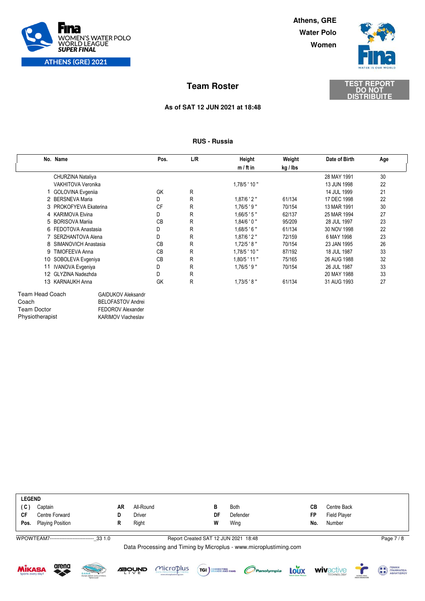

**Women Water Polo Athens, GRE**



**DISTRIBUITE**

# **DO NOT TEST REPORT Team Roster**

### **As of SAT 12 JUN 2021 at 18:48**

### **RUS - Russia**

|                        | No. Name                  | Pos.      | L/R | <b>Height</b>   | Weight   | Date of Birth | Age |  |
|------------------------|---------------------------|-----------|-----|-----------------|----------|---------------|-----|--|
|                        |                           |           |     | $m / ft$ in     | kg / lbs |               |     |  |
|                        | CHURZINA Nataliya         |           |     |                 |          | 28 MAY 1991   | 30  |  |
|                        | VAKHITOVA Veronika        |           |     | 1,78/5 ' 10"    |          | 13 JUN 1998   | 22  |  |
|                        | <b>GOLOVINA Evgenija</b>  | GK        | R   |                 |          | 14 JUL 1999   | 21  |  |
|                        | 2 BERSNEVA Maria          | D         | R   | $1,87/6$ ' 2"   | 61/134   | 17 DEC 1998   | 22  |  |
|                        | 3 PROKOFYEVA Ekaterina    | <b>CF</b> | R   | $1,76/5$ '9"    | 70/154   | 13 MAR 1991   | 30  |  |
|                        | 4 KARIMOVA Elvina         | D         | R   | $1,66/5$ ' 5"   | 62/137   | 25 MAR 1994   | 27  |  |
|                        | 5 BORISOVA Marija         | <b>CB</b> | R   | $1,84/6$ ' 0 "  | 95/209   | 28 JUL 1997   | 23  |  |
|                        | 6 FEDOTOVA Anastasia      | D         | R   | $1,68/5$ ' 6"   | 61/134   | 30 NOV 1998   | 22  |  |
|                        | 7 SERZHANTOVA Alena       | D         | R   | $1,87/6$ ' 2"   | 72/159   | 6 MAY 1998    | 23  |  |
|                        | 8 SIMANOVICH Anastasia    | <b>CB</b> | R   | $1,72/5$ '8"    | 70/154   | 23 JAN 1995   | 26  |  |
|                        | 9 TIMOFEEVA Anna          | <b>CB</b> | R   | $1,78/5$ ' 10"  | 87/192   | 18 JUL 1987   | 33  |  |
|                        | 10 SOBOLEVA Evgeniya      | <b>CB</b> | R   | $1,80/5$ ' 11 " | 75/165   | 26 AUG 1988   | 32  |  |
| 11                     | <b>IVANOVA Evgeniya</b>   | D         | R   | $1,76/5$ '9"    | 70/154   | 26 JUL 1987   | 33  |  |
|                        | 12 GLYZINA Nadezhda       | D         | R   |                 |          | 20 MAY 1988   | 33  |  |
|                        | 13 KARNAUKH Anna          | GK        | R   | $1,73/5$ '8"    | 61/134   | 31 AUG 1993   | 27  |  |
| <b>Team Head Coach</b> | <b>GAIDUKOV Aleksandr</b> |           |     |                 |          |               |     |  |
| Coach                  | <b>BELOFASTOV Andrei</b>  |           |     |                 |          |               |     |  |
| Team Doctor            | FEDOROV Alexander         |           |     |                 |          |               |     |  |
| Physiotherapist        | <b>KARIMOV Viacheslav</b> |           |     |                 |          |               |     |  |

| <b>LEGEND</b> |                         |    |           |    |             |     |                     |  |  |
|---------------|-------------------------|----|-----------|----|-------------|-----|---------------------|--|--|
| (C)           | Captain                 | AR | All-Round | в  | <b>Both</b> | CВ  | Centre Back         |  |  |
| CF            | Centre Forward          |    | Driver    | DF | Defender    | FP  | <b>Field Player</b> |  |  |
| Pos.          | <b>Playing Position</b> |    | Right     | W  | Wing        | No. | Number              |  |  |
|               |                         |    |           |    |             |     |                     |  |  |

WPOWTEAM7---------------------------\_33 1.0

Report Created SAT 12 JUN 2021 18:48 Page 7 / 8